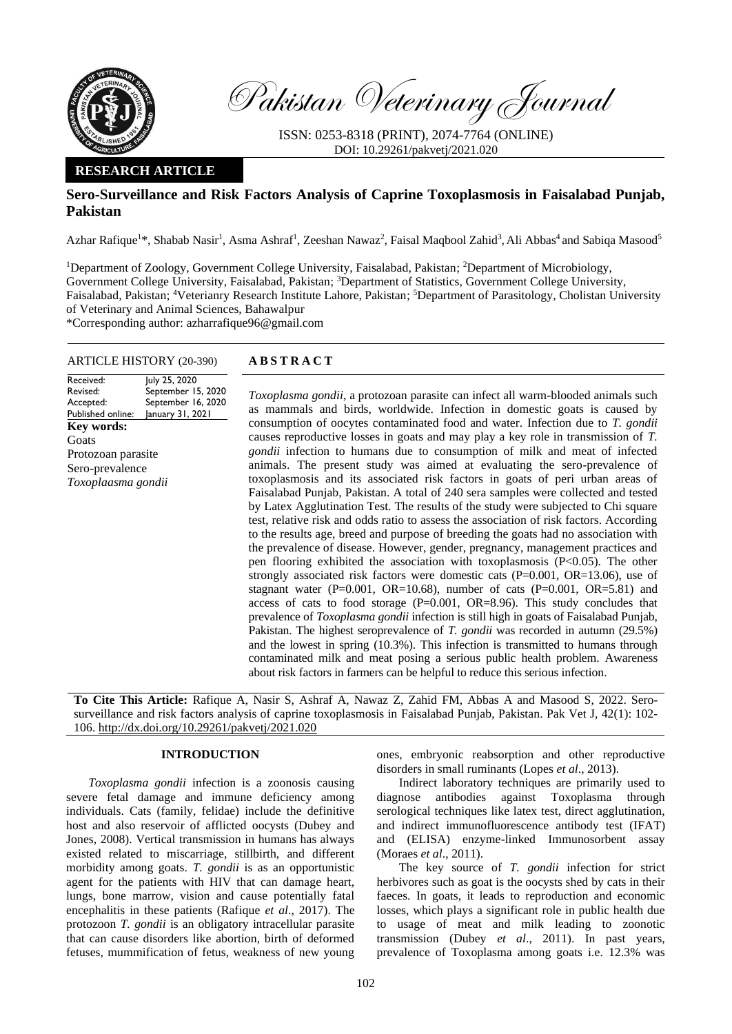

Pakistan Veterinary Journal

ISSN: 0253-8318 (PRINT), 2074-7764 (ONLINE) DOI: 10.29261/pakvetj/2021.020

# **RESEARCH ARTICLE**

# **Sero-Surveillance and Risk Factors Analysis of Caprine Toxoplasmosis in Faisalabad Punjab, Pakistan**

Azhar Rafique<sup>1\*</sup>, Shabab Nasir<sup>1</sup>, Asma Ashraf<sup>1</sup>, Zeeshan Nawaz<sup>2</sup>, Faisal Maqbool Zahid<sup>3</sup>, Ali Abbas<sup>4</sup> and Sabiqa Masood<sup>5</sup>

<sup>1</sup>Department of Zoology, Government College University, Faisalabad, Pakistan; <sup>2</sup>Department of Microbiology, Government College University, Faisalabad, Pakistan; <sup>3</sup>Department of Statistics, Government College University, Faisalabad, Pakistan; <sup>4</sup>Veterianry Research Institute Lahore, Pakistan; <sup>5</sup>Department of Parasitology, Cholistan University of Veterinary and Animal Sciences, Bahawalpur

\*Corresponding author: [azharrafique96@gmail.com](mailto:azharrafique96@gmail.com)

## ARTICLE HISTORY (20-390) **A B S T R A C T**

Received: Revised: Accepted: Published online: July 25, 2020 September 15, 2020 September 16, 2020 January 31, 2021 **Key words: Goats** Protozoan parasite Sero-prevalence *Toxoplaasma gondii*

*Toxoplasma gondii*, a protozoan parasite can infect all warm-blooded animals such as mammals and birds, worldwide. Infection in domestic goats is caused by consumption of oocytes contaminated food and water. Infection due to *T. gondii*  causes reproductive losses in goats and may play a key role in transmission of *T. gondii* infection to humans due to consumption of milk and meat of infected animals. The present study was aimed at evaluating the sero-prevalence of toxoplasmosis and its associated risk factors in goats of peri urban areas of Faisalabad Punjab, Pakistan. A total of 240 sera samples were collected and tested by Latex Agglutination Test. The results of the study were subjected to Chi square test, relative risk and odds ratio to assess the association of risk factors. According to the results age, breed and purpose of breeding the goats had no association with the prevalence of disease. However, gender, pregnancy, management practices and pen flooring exhibited the association with toxoplasmosis  $(P<0.05)$ . The other strongly associated risk factors were domestic cats  $(P=0.001, OR=13.06)$ , use of stagnant water ( $P=0.001$ ,  $OR=10.68$ ), number of cats ( $P=0.001$ ,  $OR=5.81$ ) and access of cats to food storage  $(P=0.001, OR=8.96)$ . This study concludes that prevalence of *Toxoplasma gondii* infection is still high in goats of Faisalabad Punjab, Pakistan. The highest seroprevalence of *T. gondii* was recorded in autumn (29.5%) and the lowest in spring (10.3%). This infection is transmitted to humans through contaminated milk and meat posing a serious public health problem. Awareness about risk factors in farmers can be helpful to reduce this serious infection.

**To Cite This Article:** Rafique A, Nasir S, Ashraf A, Nawaz Z, Zahid FM, Abbas A and Masood S, 2022. Serosurveillance and risk factors analysis of caprine toxoplasmosis in Faisalabad Punjab, Pakistan. Pak Vet J, 42(1): 102- 106. [http://dx.doi.org/10.29261/pakvetj/2021.020](http://pvj.com.pk/pdf-files/42_1/102-106.pdf)

# **INTRODUCTION**

*Toxoplasma gondii* infection is a zoonosis causing severe fetal damage and immune deficiency among individuals. Cats (family, felidae) include the definitive host and also reservoir of afflicted oocysts (Dubey and Jones, 2008). Vertical transmission in humans has always existed related to miscarriage, stillbirth, and different morbidity among goats. *T. gondii* is as an opportunistic agent for the patients with HIV that can damage heart, lungs, bone marrow, vision and cause potentially fatal encephalitis in these patients (Rafique *et al*., 2017). The protozoon *T. gondii* is an obligatory intracellular parasite that can cause disorders like abortion, birth of deformed fetuses, mummification of fetus, weakness of new young

ones, embryonic reabsorption and other reproductive disorders in small ruminants (Lopes *et al*., 2013).

Indirect laboratory techniques are primarily used to diagnose antibodies against Toxoplasma through serological techniques like latex test, direct agglutination, and indirect immunofluorescence antibody test (IFAT) and (ELISA) enzyme-linked Immunosorbent assay (Moraes *et al*., 2011).

The key source of *T. gondii* infection for strict herbivores such as goat is the oocysts shed by cats in their faeces. In goats, it leads to reproduction and economic losses, which plays a significant role in public health due to usage of meat and milk leading to zoonotic transmission (Dubey *et al*., 2011). In past years, prevalence of Toxoplasma among goats i.e. 12.3% was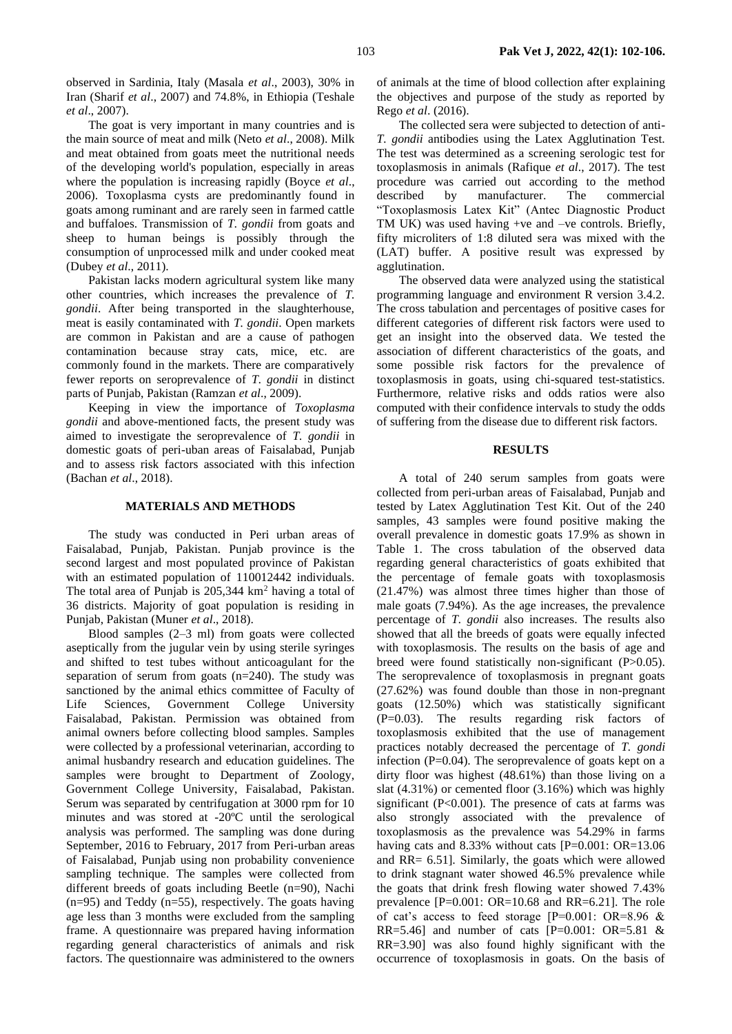observed in Sardinia, Italy (Masala *et al*., 2003), 30% in Iran (Sharif *et al*., 2007) and 74.8%, in Ethiopia (Teshale *et al*., 2007).

The goat is very important in many countries and is the main source of meat and milk (Neto *et al*., 2008). Milk and meat obtained from goats meet the nutritional needs of the developing world's population, especially in areas where the population is increasing rapidly (Boyce *et al*., 2006). Toxoplasma cysts are predominantly found in goats among ruminant and are rarely seen in farmed cattle and buffaloes. Transmission of *T. gondii* from goats and sheep to human beings is possibly through the consumption of unprocessed milk and under cooked meat (Dubey *et al*., 2011).

Pakistan lacks modern agricultural system like many other countries, which increases the prevalence of *T. gondii*. After being transported in the slaughterhouse, meat is easily contaminated with *T. gondii*. Open markets are common in Pakistan and are a cause of pathogen contamination because stray cats, mice, etc. are commonly found in the markets. There are comparatively fewer reports on seroprevalence of *T. gondii* in distinct parts of Punjab, Pakistan (Ramzan *et al*., 2009).

Keeping in view the importance of *Toxoplasma gondii* and above-mentioned facts, the present study was aimed to investigate the seroprevalence of *T. gondii* in domestic goats of peri-uban areas of Faisalabad, Punjab and to assess risk factors associated with this infection (Bachan *et al*., 2018).

## **MATERIALS AND METHODS**

The study was conducted in Peri urban areas of Faisalabad, Punjab, Pakistan. Punjab province is the second largest and most populated province of Pakistan with an estimated population of 110012442 individuals. The total area of Punjab is  $205,344 \text{ km}^2$  having a total of 36 districts. Majority of goat population is residing in Punjab, Pakistan (Muner *et al*., 2018).

Blood samples (2–3 ml) from goats were collected aseptically from the jugular vein by using sterile syringes and shifted to test tubes without anticoagulant for the separation of serum from goats (n=240). The study was sanctioned by the animal ethics committee of Faculty of Life Sciences, Government College University Faisalabad, Pakistan. Permission was obtained from animal owners before collecting blood samples. Samples were collected by a professional veterinarian, according to animal husbandry research and education guidelines. The samples were brought to Department of Zoology, Government College University, Faisalabad, Pakistan. Serum was separated by centrifugation at 3000 rpm for 10 minutes and was stored at -20ºC until the serological analysis was performed. The sampling was done during September, 2016 to February, 2017 from Peri-urban areas of Faisalabad, Punjab using non probability convenience sampling technique. The samples were collected from different breeds of goats including Beetle (n=90), Nachi  $(n=95)$  and Teddy  $(n=55)$ , respectively. The goats having age less than 3 months were excluded from the sampling frame. A questionnaire was prepared having information regarding general characteristics of animals and risk factors. The questionnaire was administered to the owners

of animals at the time of blood collection after explaining the objectives and purpose of the study as reported by Rego *et al*. (2016).

The collected sera were subjected to detection of anti-*T. gondii* antibodies using the Latex Agglutination Test. The test was determined as a screening serologic test for toxoplasmosis in animals (Rafique *et al*., 2017). The test procedure was carried out according to the method described by manufacturer. The commercial "Toxoplasmosis Latex Kit" (Antec Diagnostic Product TM UK) was used having +ve and –ve controls. Briefly, fifty microliters of 1:8 diluted sera was mixed with the (LAT) buffer. A positive result was expressed by agglutination.

The observed data were analyzed using the statistical programming language and environment R version 3.4.2. The cross tabulation and percentages of positive cases for different categories of different risk factors were used to get an insight into the observed data. We tested the association of different characteristics of the goats, and some possible risk factors for the prevalence of toxoplasmosis in goats, using chi-squared test-statistics. Furthermore, relative risks and odds ratios were also computed with their confidence intervals to study the odds of suffering from the disease due to different risk factors.

#### **RESULTS**

A total of 240 serum samples from goats were collected from peri-urban areas of Faisalabad, Punjab and tested by Latex Agglutination Test Kit. Out of the 240 samples, 43 samples were found positive making the overall prevalence in domestic goats 17.9% as shown in Table 1. The cross tabulation of the observed data regarding general characteristics of goats exhibited that the percentage of female goats with toxoplasmosis (21.47%) was almost three times higher than those of male goats (7.94%). As the age increases, the prevalence percentage of *T. gondii* also increases. The results also showed that all the breeds of goats were equally infected with toxoplasmosis. The results on the basis of age and breed were found statistically non-significant (P>0.05). The seroprevalence of toxoplasmosis in pregnant goats (27.62%) was found double than those in non-pregnant goats (12.50%) which was statistically significant (P=0.03). The results regarding risk factors of toxoplasmosis exhibited that the use of management practices notably decreased the percentage of *T. gondi* infection ( $P=0.04$ ). The seroprevalence of goats kept on a dirty floor was highest (48.61%) than those living on a slat (4.31%) or cemented floor (3.16%) which was highly significant (P<0.001). The presence of cats at farms was also strongly associated with the prevalence of toxoplasmosis as the prevalence was 54.29% in farms having cats and 8.33% without cats [P=0.001: OR=13.06 and RR= 6.51]. Similarly, the goats which were allowed to drink stagnant water showed 46.5% prevalence while the goats that drink fresh flowing water showed 7.43% prevalence [P=0.001: OR=10.68 and RR=6.21]. The role of cat's access to feed storage  $[P=0.001: OR=8.96 \&$ RR=5.46] and number of cats [P=0.001: OR=5.81 & RR=3.90] was also found highly significant with the occurrence of toxoplasmosis in goats. On the basis of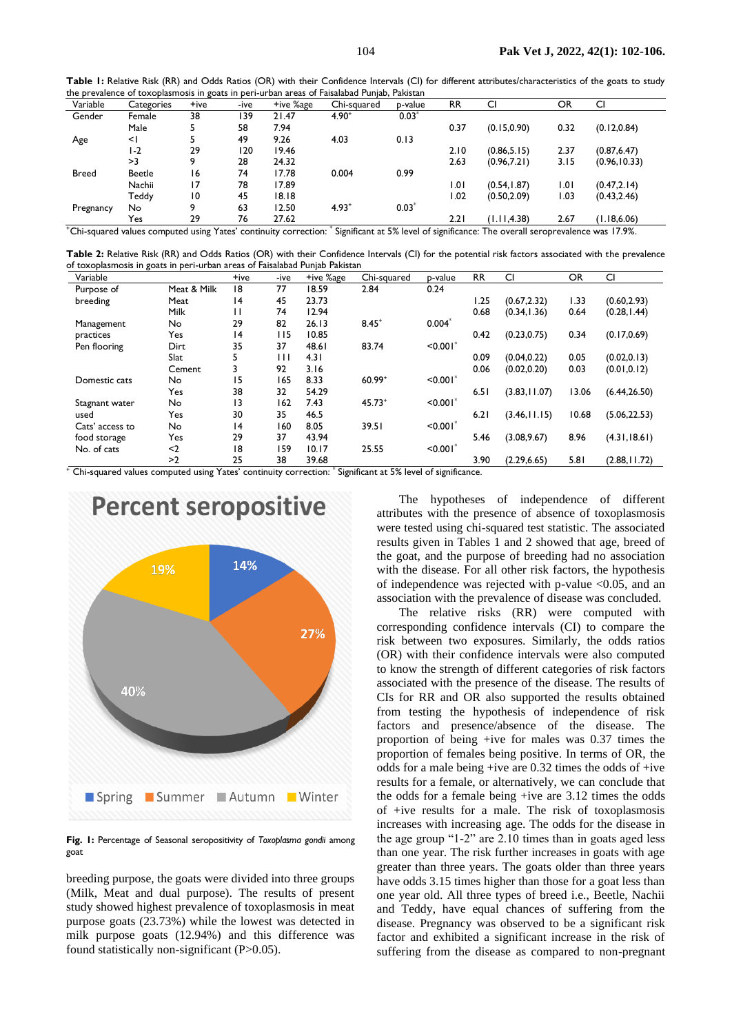**Table 1:** Relative Risk (RR) and Odds Ratios (OR) with their Confidence Intervals (CI) for different attributes/characteristics of the goats to study the prevalence of toxoplasmosis in goats in peri-urban areas of Faisalabad Punjab, Pakistan

| Variable     | Categories | +ive      | -ive | +ive %age | Chi-squared | p-value         | <b>RR</b> | CI           | OR   | CI            |
|--------------|------------|-----------|------|-----------|-------------|-----------------|-----------|--------------|------|---------------|
| Gender       | Female     | 38        | 139  | 21.47     | $4.90^{+}$  | $0.03*$         |           |              |      |               |
|              | Male       |           | 58   | 7.94      |             |                 | 0.37      | (0.15, 0.90) | 0.32 | (0.12, 0.84)  |
| Age          | $\leq$     |           | 49   | 9.26      | 4.03        | 0.13            |           |              |      |               |
|              | l -2       | 29        | 120  | 19.46     |             |                 | 2.10      | (0.86, 5.15) | 2.37 | (0.87, 6.47)  |
|              | >3         | 9         | 28   | 24.32     |             |                 | 2.63      | (0.96, 7.21) | 3.15 | (0.96, 10.33) |
| <b>Breed</b> | Beetle     | 16        | 74   | 17.78     | 0.004       | 0.99            |           |              |      |               |
|              | Nachii     | 17        | 78   | 17.89     |             |                 | ا ۱.۵     | (0.54, 1.87) | 1.01 | (0.47, 2.14)  |
|              | Teddy      | 10        | 45   | 18.18     |             |                 | 1.02      | (0.50, 2.09) | 1.03 | (0.43, 2.46)  |
| Pregnancy    | No         | 9         | 63   | 12.50     | $4.93^{+}$  | $0.03*$         |           |              |      |               |
|              | Yes        | 29        | 76   | 27.62     |             |                 | 2.21      | (1.11, 4.38) | 2.67 | (1.18, 6.06)  |
| $+ - +$      |            | $\lambda$ |      |           | $*$ $\sim$  | $-21$<br>$\sim$ | $\sim$    | $-1$<br>     |      | $ -$          |

\*Chi-squared values computed using Yates' continuity correction: \* Significant at 5% level of significance: The overall seroprevalence was 17.9%.

**Table 2:** Relative Risk (RR) and Odds Ratios (OR) with their Confidence Intervals (CI) for the potential risk factors associated with the prevalence of toxoplasmosis in goats in peri-urban areas of Faisalabad Punjab Pakistan

| Variable        |             | +ive | -ive       | +ive %age             | Chi-squared | p-value                | <b>RR</b> | CI            | OR    | CI            |
|-----------------|-------------|------|------------|-----------------------|-------------|------------------------|-----------|---------------|-------|---------------|
| Purpose of      | Meat & Milk | 18   | 77         | 18.59                 | 2.84        | 0.24                   |           |               |       |               |
| breeding        | Meat        | 4    | 45         | 23.73                 |             |                        | 1.25      | (0.67, 2.32)  | 1.33  | (0.60, 2.93)  |
|                 | Milk        | П    | 74         | 12.94                 |             |                        | 0.68      | (0.34, 1.36)  | 0.64  | (0.28, 1.44)  |
| Management      | No          | 29   | 82         | 26.13                 | $8.45+$     | $0.004*$               |           |               |       |               |
| practices       | Yes         | 4    | <b>II5</b> | 10.85                 |             |                        | 0.42      | (0.23, 0.75)  | 0.34  | (0.17, 0.69)  |
| Pen flooring    | Dirt        | 35   | 37         | 48.61                 | 83.74       | < 0.001                |           |               |       |               |
|                 | <b>Slat</b> | 5    | Ш          | 4.31                  |             |                        | 0.09      | (0.04, 0.22)  | 0.05  | (0.02, 0.13)  |
|                 | Cement      | 3    | 92         | 3.16                  |             |                        | 0.06      | (0.02, 0.20)  | 0.03  | (0.01, 0.12)  |
| Domestic cats   | No          | 15   | 165        | 8.33                  | $60.99^{+}$ | $< 0.001$ *            |           |               |       |               |
|                 | Yes         | 38   | 32         | 54.29                 |             |                        | 6.51      | (3.83, 11.07) | 13.06 | (6.44, 26.50) |
| Stagnant water  | No          | 13   | 162        | 7.43                  | $45.73^{+}$ | $< 0.001$ *            |           |               |       |               |
| used            | Yes         | 30   | 35         | 46.5                  |             |                        | 6.21      | (3.46, 11.15) | 10.68 | (5.06, 22.53) |
| Cats' access to | No          | 4    | 160        | 8.05                  | 39.51       | $< 0.001$ <sup>*</sup> |           |               |       |               |
| food storage    | Yes         | 29   | 37         | 43.94                 |             |                        | 5.46      | (3.08, 9.67)  | 8.96  | (4.31, 18.61) |
| No. of cats     | $2$         | 18   | 159        | 10.17                 | 25.55       | $< 0.001$ *            |           |               |       |               |
|                 | >2          | 25   | 38         | 39.68<br><b>March</b> |             |                        | 3.90      | (2.29, 6.65)  | 5.81  | (2.88, 11.72) |

<sup>+</sup> Chi-squared values computed using Yates' continuity correction: \* Significant at 5% level of significance.



**Fig. 1:** Percentage of Seasonal seropositivity of *Toxoplasma gondii* among goat

breeding purpose, the goats were divided into three groups (Milk, Meat and dual purpose). The results of present study showed highest prevalence of toxoplasmosis in meat purpose goats (23.73%) while the lowest was detected in milk purpose goats (12.94%) and this difference was found statistically non-significant (P>0.05).

The hypotheses of independence of different attributes with the presence of absence of toxoplasmosis were tested using chi-squared test statistic. The associated results given in Tables 1 and 2 showed that age, breed of the goat, and the purpose of breeding had no association with the disease. For all other risk factors, the hypothesis of independence was rejected with p-value <0.05, and an association with the prevalence of disease was concluded.

The relative risks (RR) were computed with corresponding confidence intervals (CI) to compare the risk between two exposures. Similarly, the odds ratios (OR) with their confidence intervals were also computed to know the strength of different categories of risk factors associated with the presence of the disease. The results of CIs for RR and OR also supported the results obtained from testing the hypothesis of independence of risk factors and presence/absence of the disease. The proportion of being +ive for males was 0.37 times the proportion of females being positive. In terms of OR, the odds for a male being +ive are 0.32 times the odds of +ive results for a female, or alternatively, we can conclude that the odds for a female being +ive are 3.12 times the odds of +ive results for a male. The risk of toxoplasmosis increases with increasing age. The odds for the disease in the age group "1-2" are 2.10 times than in goats aged less than one year. The risk further increases in goats with age greater than three years. The goats older than three years have odds 3.15 times higher than those for a goat less than one year old. All three types of breed i.e., Beetle, Nachii and Teddy, have equal chances of suffering from the disease. Pregnancy was observed to be a significant risk factor and exhibited a significant increase in the risk of suffering from the disease as compared to non-pregnant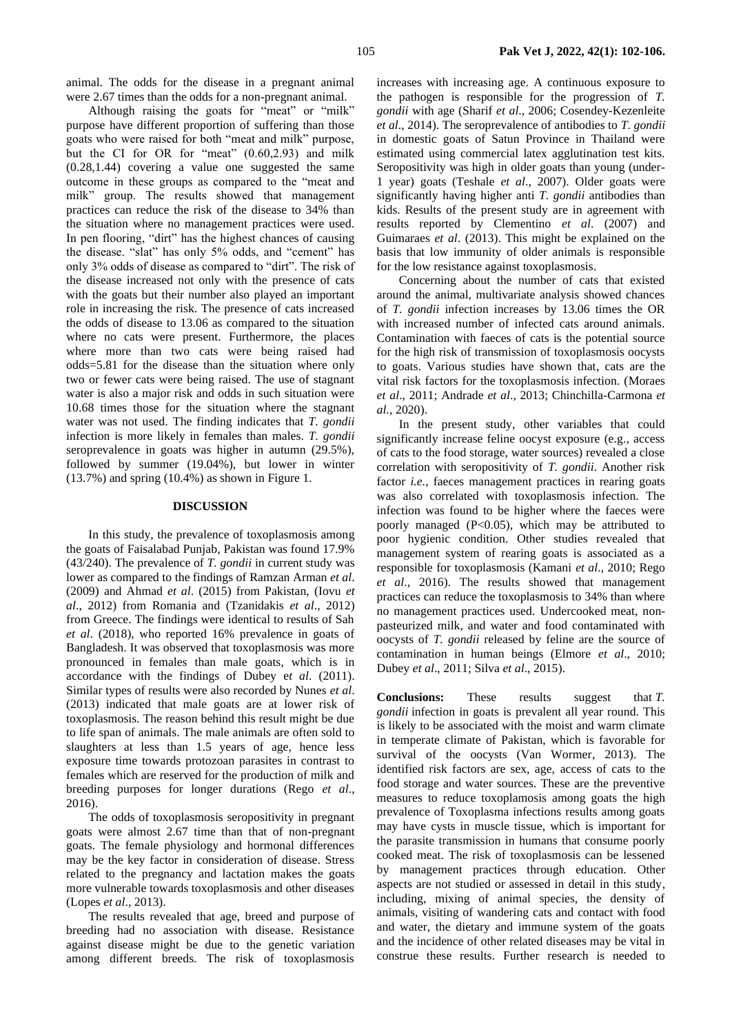animal. The odds for the disease in a pregnant animal were 2.67 times than the odds for a non-pregnant animal.

Although raising the goats for "meat" or "milk" purpose have different proportion of suffering than those goats who were raised for both "meat and milk" purpose, but the CI for OR for "meat" (0.60,2.93) and milk (0.28,1.44) covering a value one suggested the same outcome in these groups as compared to the "meat and milk" group. The results showed that management practices can reduce the risk of the disease to 34% than the situation where no management practices were used. In pen flooring, "dirt" has the highest chances of causing the disease. "slat" has only 5% odds, and "cement" has only 3% odds of disease as compared to "dirt". The risk of the disease increased not only with the presence of cats with the goats but their number also played an important role in increasing the risk. The presence of cats increased the odds of disease to 13.06 as compared to the situation where no cats were present. Furthermore, the places where more than two cats were being raised had odds=5.81 for the disease than the situation where only two or fewer cats were being raised. The use of stagnant water is also a major risk and odds in such situation were 10.68 times those for the situation where the stagnant water was not used. The finding indicates that *T. gondii* infection is more likely in females than males. *T. gondii* seroprevalence in goats was higher in autumn (29.5%), followed by summer (19.04%), but lower in winter  $(13.7\%)$  and spring  $(10.4\%)$  as shown in Figure 1.

## **DISCUSSION**

In this study, the prevalence of toxoplasmosis among the goats of Faisalabad Punjab, Pakistan was found 17.9% (43/240). The prevalence of *T. gondii* in current study was lower as compared to the findings of Ramzan Arman *et al*. (2009) and Ahmad *et al*. (2015) from Pakistan, (Iovu *et al*., 2012) from Romania and (Tzanidakis *et al*., 2012) from Greece. The findings were identical to results of Sah *et al*. (2018), who reported 16% prevalence in goats of Bangladesh. It was observed that toxoplasmosis was more pronounced in females than male goats, which is in accordance with the findings of Dubey e*t al*. (2011). Similar types of results were also recorded by Nunes *et al*. (2013) indicated that male goats are at lower risk of toxoplasmosis. The reason behind this result might be due to life span of animals. The male animals are often sold to slaughters at less than 1.5 years of age, hence less exposure time towards protozoan parasites in contrast to females which are reserved for the production of milk and breeding purposes for longer durations (Rego *et al*., 2016).

The odds of toxoplasmosis seropositivity in pregnant goats were almost 2.67 time than that of non-pregnant goats. The female physiology and hormonal differences may be the key factor in consideration of disease. Stress related to the pregnancy and lactation makes the goats more vulnerable towards toxoplasmosis and other diseases (Lopes *et al*., 2013).

The results revealed that age, breed and purpose of breeding had no association with disease. Resistance against disease might be due to the genetic variation among different breeds. The risk of toxoplasmosis increases with increasing age. A continuous exposure to the pathogen is responsible for the progression of *T. gondii* with age (Sharif *et al*., 2006; Cosendey-Kezenleite *et al*., 2014). The seroprevalence of antibodies to *T. gondii* in domestic goats of Satun Province in Thailand were estimated using commercial latex agglutination test kits. Seropositivity was high in older goats than young (under-1 year) goats (Teshale *et al*., 2007). Older goats were significantly having higher anti *T. gondii* antibodies than kids. Results of the present study are in agreement with results reported by Clementino *et al*. (2007) and Guimaraes *et al*. (2013). This might be explained on the basis that low immunity of older animals is responsible for the low resistance against toxoplasmosis.

Concerning about the number of cats that existed around the animal, multivariate analysis showed chances of *T. gondii* infection increases by 13.06 times the OR with increased number of infected cats around animals. Contamination with faeces of cats is the potential source for the high risk of transmission of toxoplasmosis oocysts to goats. Various studies have shown that, cats are the vital risk factors for the toxoplasmosis infection. (Moraes *et al*., 2011; Andrade *et al*., 2013; Chinchilla-Carmona *et al.*, 2020).

In the present study, other variables that could significantly increase feline oocyst exposure (e.g., access of cats to the food storage, water sources) revealed a close correlation with seropositivity of *T. gondii*. Another risk factor *i.e.,* faeces management practices in rearing goats was also correlated with toxoplasmosis infection. The infection was found to be higher where the faeces were poorly managed (P<0.05), which may be attributed to poor hygienic condition. Other studies revealed that management system of rearing goats is associated as a responsible for toxoplasmosis (Kamani *et al*., 2010; Rego *et al*., 2016). The results showed that management practices can reduce the toxoplasmosis to 34% than where no management practices used. Undercooked meat, nonpasteurized milk, and water and food contaminated with oocysts of *T. gondii* released by feline are the source of contamination in human beings (Elmore *et al*., 2010; Dubey *et al*., 2011; Silva *et al*., 2015).

**Conclusions:** These results suggest that *T. gondii* infection in goats is prevalent all year round. This is likely to be associated with the moist and warm climate in temperate climate of Pakistan, which is favorable for survival of the oocysts (Van Wormer, 2013). The identified risk factors are sex, age, access of cats to the food storage and water sources. These are the preventive measures to reduce toxoplamosis among goats the high prevalence of Toxoplasma infections results among goats may have cysts in muscle tissue, which is important for the parasite transmission in humans that consume poorly cooked meat. The risk of toxoplasmosis can be lessened by management practices through education. Other aspects are not studied or assessed in detail in this study, including, mixing of animal species, the density of animals, visiting of wandering cats and contact with food and water, the dietary and immune system of the goats and the incidence of other related diseases may be vital in construe these results. Further research is needed to